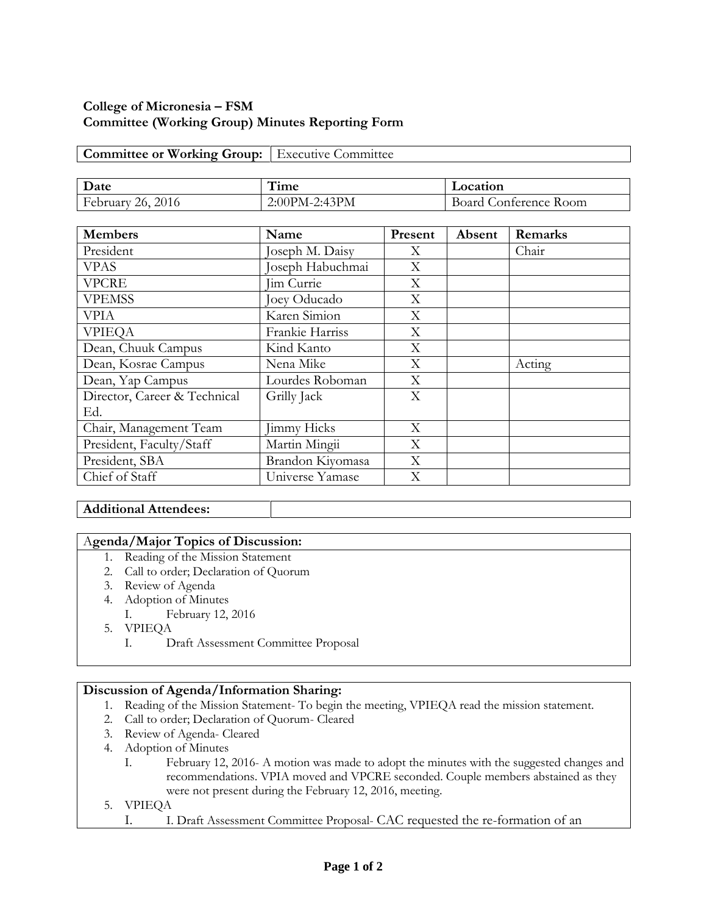# **College of Micronesia – FSM Committee (Working Group) Minutes Reporting Form**

### **Committee or Working Group:** Executive Committee

| Date                    | $-1$<br>1 ime   | Location                      |  |
|-------------------------|-----------------|-------------------------------|--|
| February<br>2016<br>26. | $2:00PM-2:43PM$ | ' Conterence Room-<br>Board ( |  |

| <b>Members</b>               | Name               | Present | Absent | Remarks |
|------------------------------|--------------------|---------|--------|---------|
| President                    | Joseph M. Daisy    | X       |        | Chair   |
| <b>VPAS</b>                  | Joseph Habuchmai   | X       |        |         |
| <b>VPCRE</b>                 | <b>Jim Currie</b>  | X       |        |         |
| <b>VPEMSS</b>                | Joey Oducado       | X       |        |         |
| <b>VPIA</b>                  | Karen Simion       | X       |        |         |
| <b>VPIEQA</b>                | Frankie Harriss    | X       |        |         |
| Dean, Chuuk Campus           | Kind Kanto         | X       |        |         |
| Dean, Kosrae Campus          | Nena Mike          | X       |        | Acting  |
| Dean, Yap Campus             | Lourdes Roboman    | X       |        |         |
| Director, Career & Technical | Grilly Jack        | X       |        |         |
| Ed.                          |                    |         |        |         |
| Chair, Management Team       | <b>Jimmy Hicks</b> | X       |        |         |
| President, Faculty/Staff     | Martin Mingii      | X       |        |         |
| President, SBA               | Brandon Kiyomasa   | X       |        |         |
| Chief of Staff               | Universe Yamase    | X       |        |         |

## **Additional Attendees:**

#### A**genda/Major Topics of Discussion:**

- 1. Reading of the Mission Statement
- 2. Call to order; Declaration of Quorum
- 3. Review of Agenda
- 4. Adoption of Minutes
	- I. February 12, 2016
- 5. VPIEQA
	- I. Draft Assessment Committee Proposal

#### **Discussion of Agenda/Information Sharing:**

- 1. Reading of the Mission Statement- To begin the meeting, VPIEQA read the mission statement.
- 2. Call to order; Declaration of Quorum- Cleared
- 3. Review of Agenda- Cleared
- 4. Adoption of Minutes
	- I. February 12, 2016- A motion was made to adopt the minutes with the suggested changes and recommendations. VPIA moved and VPCRE seconded. Couple members abstained as they were not present during the February 12, 2016, meeting.
- 5. VPIEQA
	- I. I. Draft Assessment Committee Proposal- CAC requested the re-formation of an